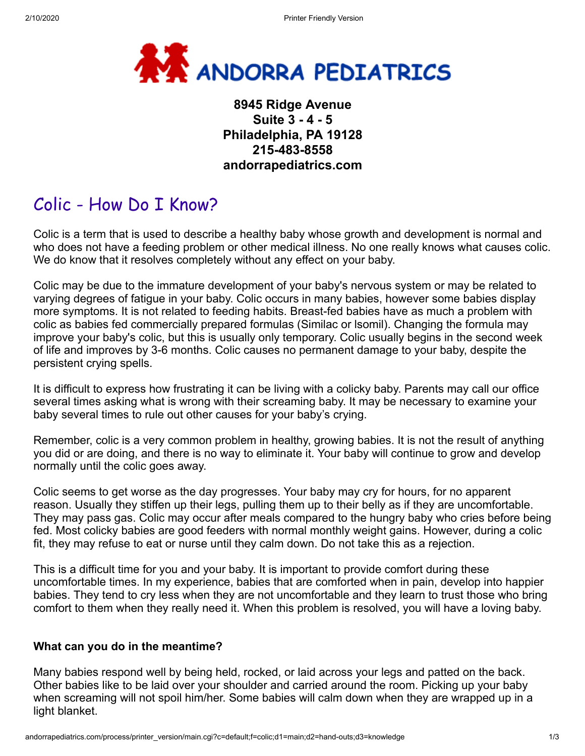

## **8945 Ridge Avenue Suite 3 - 4 - 5 Philadelphia, PA 19128 215-483-8558 andorrapediatrics.com**

## Colic - How Do I Know?

Colic is a term that is used to describe a healthy baby whose growth and development is normal and who does not have a feeding problem or other medical illness. No one really knows what causes colic. We do know that it resolves completely without any effect on your baby.

Colic may be due to the immature development of your baby's nervous system or may be related to varying degrees of fatigue in your baby. Colic occurs in many babies, however some babies display more symptoms. It is not related to feeding habits. Breast-fed babies have as much a problem with colic as babies fed commercially prepared formulas (Similac or lsomil). Changing the formula may improve your baby's colic, but this is usually only temporary. Colic usually begins in the second week of life and improves by 3-6 months. Colic causes no permanent damage to your baby, despite the persistent crying spells.

It is difficult to express how frustrating it can be living with a colicky baby. Parents may call our office several times asking what is wrong with their screaming baby. It may be necessary to examine your baby several times to rule out other causes for your baby's crying.

Remember, colic is a very common problem in healthy, growing babies. It is not the result of anything you did or are doing, and there is no way to eliminate it. Your baby will continue to grow and develop normally until the colic goes away.

Colic seems to get worse as the day progresses. Your baby may cry for hours, for no apparent reason. Usually they stiffen up their legs, pulling them up to their belly as if they are uncomfortable. They may pass gas. Colic may occur after meals compared to the hungry baby who cries before being fed. Most colicky babies are good feeders with normal monthly weight gains. However, during a colic fit, they may refuse to eat or nurse until they calm down. Do not take this as a rejection.

This is a difficult time for you and your baby. It is important to provide comfort during these uncomfortable times. In my experience, babies that are comforted when in pain, develop into happier babies. They tend to cry less when they are not uncomfortable and they learn to trust those who bring comfort to them when they really need it. When this problem is resolved, you will have a loving baby.

## **What can you do in the meantime?**

Many babies respond well by being held, rocked, or laid across your legs and patted on the back. Other babies like to be laid over your shoulder and carried around the room. Picking up your baby when screaming will not spoil him/her. Some babies will calm down when they are wrapped up in a light blanket.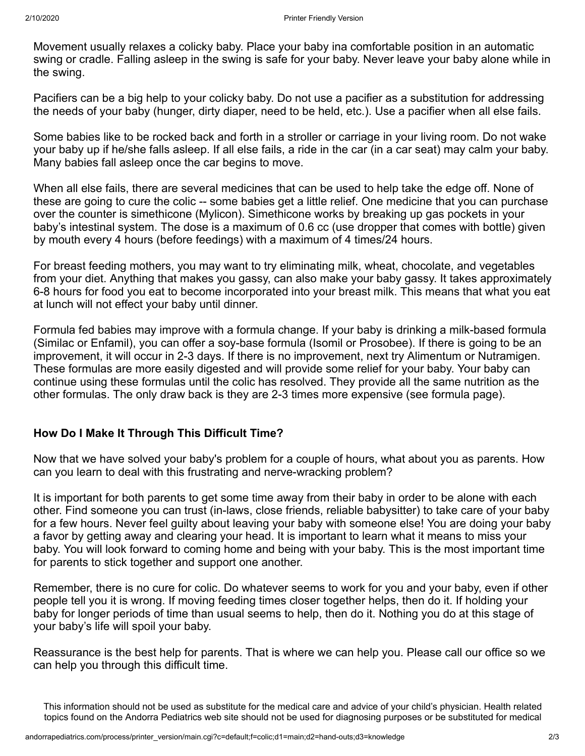Movement usually relaxes a colicky baby. Place your baby ina comfortable position in an automatic swing or cradle. Falling asleep in the swing is safe for your baby. Never leave your baby alone while in the swing.

Pacifiers can be a big help to your colicky baby. Do not use a pacifier as a substitution for addressing the needs of your baby (hunger, dirty diaper, need to be held, etc.). Use a pacifier when all else fails.

Some babies like to be rocked back and forth in a stroller or carriage in your living room. Do not wake your baby up if he/she falls asleep. If all else fails, a ride in the car (in a car seat) may calm your baby. Many babies fall asleep once the car begins to move.

When all else fails, there are several medicines that can be used to help take the edge off. None of these are going to cure the colic -- some babies get a little relief. One medicine that you can purchase over the counter is simethicone (Mylicon). Simethicone works by breaking up gas pockets in your baby's intestinal system. The dose is a maximum of 0.6 cc (use dropper that comes with bottle) given by mouth every 4 hours (before feedings) with a maximum of 4 times/24 hours.

For breast feeding mothers, you may want to try eliminating milk, wheat, chocolate, and vegetables from your diet. Anything that makes you gassy, can also make your baby gassy. It takes approximately 6-8 hours for food you eat to become incorporated into your breast milk. This means that what you eat at lunch will not effect your baby until dinner.

Formula fed babies may improve with a formula change. If your baby is drinking a milk-based formula (Similac or Enfamil), you can offer a soy-base formula (Isomil or Prosobee). If there is going to be an improvement, it will occur in 2-3 days. If there is no improvement, next try Alimentum or Nutramigen. These formulas are more easily digested and will provide some relief for your baby. Your baby can continue using these formulas until the colic has resolved. They provide all the same nutrition as the other formulas. The only draw back is they are 2-3 times more expensive (see formula page).

## **How Do I Make It Through This Difficult Time?**

Now that we have solved your baby's problem for a couple of hours, what about you as parents. How can you learn to deal with this frustrating and nerve-wracking problem?

It is important for both parents to get some time away from their baby in order to be alone with each other. Find someone you can trust (in-laws, close friends, reliable babysitter) to take care of your baby for a few hours. Never feel guilty about leaving your baby with someone else! You are doing your baby a favor by getting away and clearing your head. It is important to learn what it means to miss your baby. You will look forward to coming home and being with your baby. This is the most important time for parents to stick together and support one another.

Remember, there is no cure for colic. Do whatever seems to work for you and your baby, even if other people tell you it is wrong. If moving feeding times closer together helps, then do it. If holding your baby for longer periods of time than usual seems to help, then do it. Nothing you do at this stage of your baby's life will spoil your baby.

Reassurance is the best help for parents. That is where we can help you. Please call our office so we can help you through this difficult time.

This information should not be used as substitute for the medical care and advice of your child's physician. Health related topics found on the Andorra Pediatrics web site should not be used for diagnosing purposes or be substituted for medical